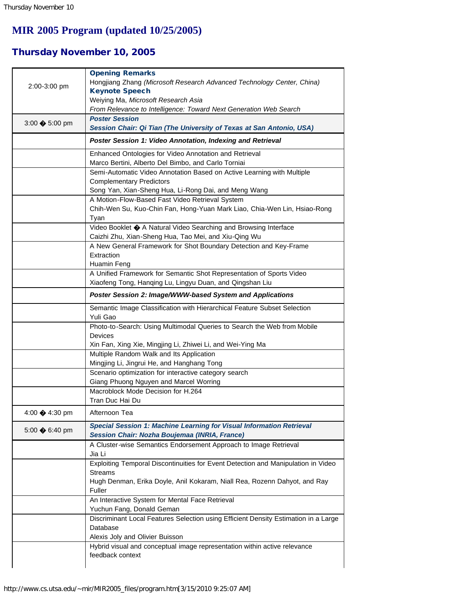## **MIR 2005 Program (updated 10/25/2005)**

## Thursday November 10, 2005

| 2:00-3:00 pm             | <b>Opening Remarks</b><br>Hongjiang Zhang (Microsoft Research Advanced Technology Center, China)<br><b>Keynote Speech</b><br>Weiying Ma, Microsoft Research Asia |
|--------------------------|------------------------------------------------------------------------------------------------------------------------------------------------------------------|
|                          | From Relevance to Intelligence: Toward Next Generation Web Search<br><b>Poster Session</b>                                                                       |
| 3:00 $\clubsuit$ 5:00 pm | Session Chair: Qi Tian (The University of Texas at San Antonio, USA)                                                                                             |
|                          | Poster Session 1: Video Annotation, Indexing and Retrieval                                                                                                       |
|                          | Enhanced Ontologies for Video Annotation and Retrieval<br>Marco Bertini, Alberto Del Bimbo, and Carlo Torniai                                                    |
|                          | Semi-Automatic Video Annotation Based on Active Learning with Multiple<br><b>Complementary Predictors</b>                                                        |
|                          | Song Yan, Xian-Sheng Hua, Li-Rong Dai, and Meng Wang                                                                                                             |
|                          | A Motion-Flow-Based Fast Video Retrieval System<br>Chih-Wen Su, Kuo-Chin Fan, Hong-Yuan Mark Liao, Chia-Wen Lin, Hsiao-Rong<br>Tyan                              |
|                          | Video Booklet � A Natural Video Searching and Browsing Interface<br>Caizhi Zhu, Xian-Sheng Hua, Tao Mei, and Xiu-Qing Wu                                         |
|                          | A New General Framework for Shot Boundary Detection and Key-Frame<br>Extraction<br>Huamin Feng                                                                   |
|                          | A Unified Framework for Semantic Shot Representation of Sports Video<br>Xiaofeng Tong, Hanqing Lu, Lingyu Duan, and Qingshan Liu                                 |
|                          | Poster Session 2: Image/WWW-based System and Applications                                                                                                        |
|                          | Semantic Image Classification with Hierarchical Feature Subset Selection<br>Yuli Gao                                                                             |
|                          | Photo-to-Search: Using Multimodal Queries to Search the Web from Mobile<br>Devices                                                                               |
|                          | Xin Fan, Xing Xie, Mingjing Li, Zhiwei Li, and Wei-Ying Ma<br>Multiple Random Walk and Its Application                                                           |
|                          | Mingjing Li, Jingrui He, and Hanghang Tong                                                                                                                       |
|                          | Scenario optimization for interactive category search                                                                                                            |
|                          | Giang Phuong Nguyen and Marcel Worring                                                                                                                           |
|                          | Macroblock Mode Decision for H.264<br>Tran Duc Hai Du                                                                                                            |
| 4:00 → 4:30 pm           | Afternoon Tea                                                                                                                                                    |
| 5:00 $\clubsuit$ 6:40 pm | Special Session 1: Machine Learning for Visual Information Retrieval<br>Session Chair: Nozha Boujemaa (INRIA, France)                                            |
|                          | A Cluster-wise Semantics Endorsement Approach to Image Retrieval<br>Jia Li                                                                                       |
|                          | Exploiting Temporal Discontinuities for Event Detection and Manipulation in Video<br><b>Streams</b>                                                              |
|                          | Hugh Denman, Erika Doyle, Anil Kokaram, Niall Rea, Rozenn Dahyot, and Ray<br>Fuller                                                                              |
|                          | An Interactive System for Mental Face Retrieval<br>Yuchun Fang, Donald Geman                                                                                     |
|                          | Discriminant Local Features Selection using Efficient Density Estimation in a Large<br>Database                                                                  |
|                          | Alexis Joly and Olivier Buisson<br>Hybrid visual and conceptual image representation within active relevance                                                     |
|                          | feedback context                                                                                                                                                 |
|                          |                                                                                                                                                                  |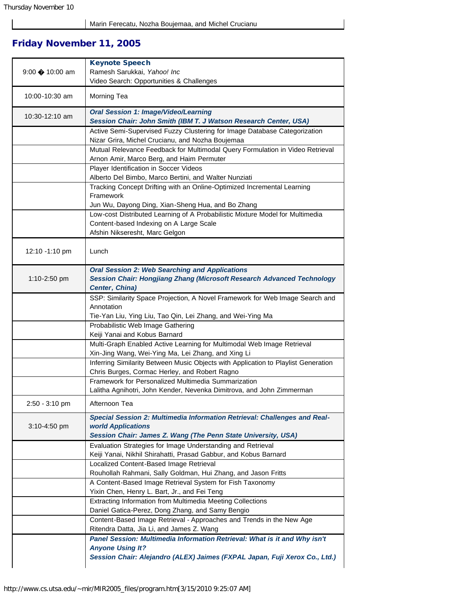## Friday November 11, 2005

| 9:00 → 10:00 am  | <b>Keynote Speech</b><br>Ramesh Sarukkai, Yahoo! Inc                                                                                |
|------------------|-------------------------------------------------------------------------------------------------------------------------------------|
|                  | Video Search: Opportunities & Challenges                                                                                            |
| 10:00-10:30 am   | Morning Tea                                                                                                                         |
| 10:30-12:10 am   | <b>Oral Session 1: Image/Video/Learning</b><br>Session Chair: John Smith (IBM T. J Watson Research Center, USA)                     |
|                  | Active Semi-Supervised Fuzzy Clustering for Image Database Categorization                                                           |
|                  | Nizar Grira, Michel Crucianu, and Nozha Boujemaa                                                                                    |
|                  | Mutual Relevance Feedback for Multimodal Query Formulation in Video Retrieval                                                       |
|                  | Arnon Amir, Marco Berg, and Haim Permuter                                                                                           |
|                  | Player Identification in Soccer Videos<br>Alberto Del Bimbo, Marco Bertini, and Walter Nunziati                                     |
|                  | Tracking Concept Drifting with an Online-Optimized Incremental Learning                                                             |
|                  | Framework                                                                                                                           |
|                  | Jun Wu, Dayong Ding, Xian-Sheng Hua, and Bo Zhang                                                                                   |
|                  | Low-cost Distributed Learning of A Probabilistic Mixture Model for Multimedia                                                       |
|                  | Content-based Indexing on A Large Scale                                                                                             |
|                  | Afshin Nikseresht, Marc Gelgon                                                                                                      |
| 12:10 -1:10 pm   | Lunch                                                                                                                               |
|                  | <b>Oral Session 2: Web Searching and Applications</b>                                                                               |
| 1:10-2:50 pm     | <b>Session Chair: Hongjiang Zhang (Microsoft Research Advanced Technology</b>                                                       |
|                  | Center, China)                                                                                                                      |
|                  | SSP: Similarity Space Projection, A Novel Framework for Web Image Search and                                                        |
|                  | Annotation<br>Tie-Yan Liu, Ying Liu, Tao Qin, Lei Zhang, and Wei-Ying Ma                                                            |
|                  | Probabilistic Web Image Gathering                                                                                                   |
|                  | Keiji Yanai and Kobus Barnard                                                                                                       |
|                  | Multi-Graph Enabled Active Learning for Multimodal Web Image Retrieval                                                              |
|                  | Xin-Jing Wang, Wei-Ying Ma, Lei Zhang, and Xing Li                                                                                  |
|                  | Inferring Similarity Between Music Objects with Application to Playlist Generation<br>Chris Burges, Cormac Herley, and Robert Ragno |
|                  | Framework for Personalized Multimedia Summarization                                                                                 |
|                  | Lalitha Agnihotri, John Kender, Nevenka Dimitrova, and John Zimmerman                                                               |
| $2:50 - 3:10$ pm | Afternoon Tea                                                                                                                       |
|                  | Special Session 2: Multimedia Information Retrieval: Challenges and Real-                                                           |
| $3:10 - 4:50$ pm | world Applications                                                                                                                  |
|                  | Session Chair: James Z. Wang (The Penn State University, USA)                                                                       |
|                  | Evaluation Strategies for Image Understanding and Retrieval                                                                         |
|                  | Keiji Yanai, Nikhil Shirahatti, Prasad Gabbur, and Kobus Barnard                                                                    |
|                  | Localized Content-Based Image Retrieval                                                                                             |
|                  | Rouhollah Rahmani, Sally Goldman, Hui Zhang, and Jason Fritts<br>A Content-Based Image Retrieval System for Fish Taxonomy           |
|                  | Yixin Chen, Henry L. Bart, Jr., and Fei Teng                                                                                        |
|                  | Extracting Information from Multimedia Meeting Collections                                                                          |
|                  | Daniel Gatica-Perez, Dong Zhang, and Samy Bengio                                                                                    |
|                  | Content-Based Image Retrieval - Approaches and Trends in the New Age                                                                |
|                  | Ritendra Datta, Jia Li, and James Z. Wang                                                                                           |
|                  | Panel Session: Multimedia Information Retrieval: What is it and Why isn't                                                           |
|                  | <b>Anyone Using It?</b>                                                                                                             |
|                  | Session Chair: Alejandro (ALEX) Jaimes (FXPAL Japan, Fuji Xerox Co., Ltd.)                                                          |